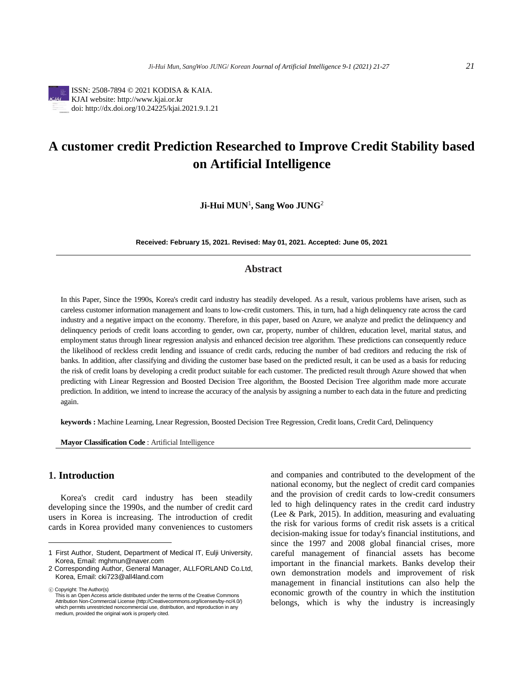

ISSN: 2508-7894 © 2021 KODISA & KAIA. KJAI website: http://www.kjai.or.kr doi: http://dx.doi.org/10.24225/kjai.2021.9.1.21

# **A customer credit Prediction Researched to Improve Credit Stability based on Artificial Intelligence**

**Ji-Hui MUN**<sup>1</sup> **, Sang Woo JUNG**<sup>2</sup>

**Received: February 15, 2021. Revised: May 01, 2021. Accepted: June 05, 2021**

# **Abstract**

In this Paper, Since the 1990s, Korea's credit card industry has steadily developed. As a result, various problems have arisen, such as careless customer information management and loans to low-credit customers. This, in turn, had a high delinquency rate across the card industry and a negative impact on the economy. Therefore, in this paper, based on Azure, we analyze and predict the delinquency and delinquency periods of credit loans according to gender, own car, property, number of children, education level, marital status, and employment status through linear regression analysis and enhanced decision tree algorithm. These predictions can consequently reduce the likelihood of reckless credit lending and issuance of credit cards, reducing the number of bad creditors and reducing the risk of banks. In addition, after classifying and dividing the customer base based on the predicted result, it can be used as a basis for reducing the risk of credit loans by developing a credit product suitable for each customer. The predicted result through Azure showed that when predicting with Linear Regression and Boosted Decision Tree algorithm, the Boosted Decision Tree algorithm made more accurate prediction. In addition, we intend to increase the accuracy of the analysis by assigning a number to each data in the future and predicting again.

**keywords :** Machine Learning, Lnear Regression, Boosted Decision Tree Regression, Credit loans, Credit Card, Delinquency

**Mayor Classification Code** : Artificial Intelligence

# 1. **Introduction**

Korea's credit card industry has been steadily developing since the 1990s, and the number of credit card users in Korea is increasing. The introduction of credit cards in Korea provided many conveniences to customers

ⓒ Copyright: The Author(s)

and companies and contributed to the development of the national economy, but the neglect of credit card companies and the provision of credit cards to low-credit consumers led to high delinquency rates in the credit card industry (Lee & Park, 2015). In addition, measuring and evaluating the risk for various forms of credit risk assets is a critical decision-making issue for today's financial institutions, and since the 1997 and 2008 global financial crises, more careful management of financial assets has become important in the financial markets. Banks develop their own demonstration models and improvement of risk management in financial institutions can also help the economic growth of the country in which the institution belongs, which is why the industry is increasingly

<sup>1</sup> First Author, Student, Department of Medical IT, Eulji University, Korea, Email: mghmun@naver.com

<sup>2</sup> Corresponding Author, General Manager, ALLFORLAND Co.Ltd, Korea, Email: cki723@all4land.com

This is an Open Access article distributed under the terms of the Creative Commons Attribution Non-Commercial License (http://Creativecommons.org/licenses/by-nc/4.0/) which permits unrestricted noncommercial use, distribution, and reproduction in any medium, provided the original work is properly cited.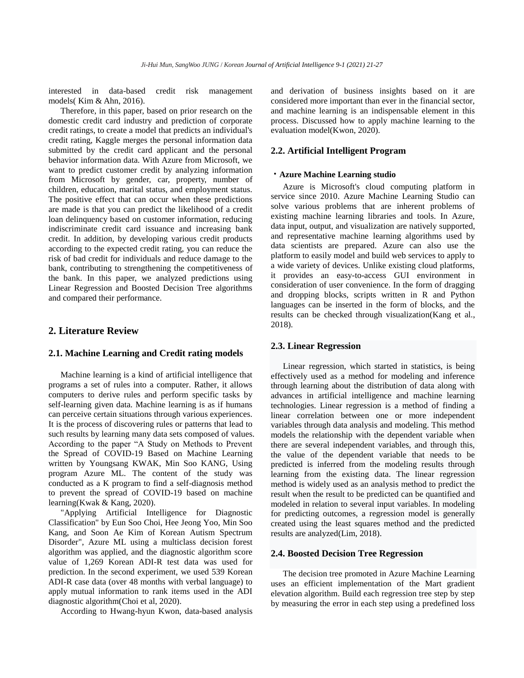interested in data-based credit risk management models( Kim & Ahn, 2016).

Therefore, in this paper, based on prior research on the domestic credit card industry and prediction of corporate credit ratings, to create a model that predicts an individual's credit rating, Kaggle merges the personal information data submitted by the credit card applicant and the personal behavior information data. With Azure from Microsoft, we want to predict customer credit by analyzing information from Microsoft by gender, car, property, number of children, education, marital status, and employment status. The positive effect that can occur when these predictions are made is that you can predict the likelihood of a credit loan delinquency based on customer information, reducing indiscriminate credit card issuance and increasing bank credit. In addition, by developing various credit products according to the expected credit rating, you can reduce the risk of bad credit for individuals and reduce damage to the bank, contributing to strengthening the competitiveness of the bank. In this paper, we analyzed predictions using Linear Regression and Boosted Decision Tree algorithms and compared their performance.

# **2. Literature Review**

## **2.1. Machine Learning and Credit rating models**

Machine learning is a kind of artificial intelligence that programs a set of rules into a computer. Rather, it allows computers to derive rules and perform specific tasks by self-learning given data. Machine learning is as if humans can perceive certain situations through various experiences. It is the process of discovering rules or patterns that lead to such results by learning many data sets composed of values. According to the paper "A Study on Methods to Prevent the Spread of COVID-19 Based on Machine Learning written by Youngsang KWAK, Min Soo KANG, Using program Azure ML. The content of the study was conducted as a K program to find a self-diagnosis method to prevent the spread of COVID-19 based on machine learning(Kwak & Kang, 2020).

"Applying Artificial Intelligence for Diagnostic Classification" by Eun Soo Choi, Hee Jeong Yoo, Min Soo Kang, and Soon Ae Kim of Korean Autism Spectrum Disorder", Azure ML using a multiclass decision forest algorithm was applied, and the diagnostic algorithm score value of 1,269 Korean ADI-R test data was used for prediction. In the second experiment, we used 539 Korean ADI-R case data (over 48 months with verbal language) to apply mutual information to rank items used in the ADI diagnostic algorithm(Choi et al, 2020).

According to Hwang-hyun Kwon, data-based analysis

and derivation of business insights based on it are considered more important than ever in the financial sector, and machine learning is an indispensable element in this process. Discussed how to apply machine learning to the evaluation model(Kwon, 2020).

## **2.2. Artificial Intelligent Program**

#### **ᆞAzure Machine Learning studio**

Azure is Microsoft's cloud computing platform in service since 2010. Azure Machine Learning Studio can solve various problems that are inherent problems of existing machine learning libraries and tools. In Azure, data input, output, and visualization are natively supported, and representative machine learning algorithms used by data scientists are prepared. Azure can also use the platform to easily model and build web services to apply to a wide variety of devices. Unlike existing cloud platforms, it provides an easy-to-access GUI environment in consideration of user convenience. In the form of dragging and dropping blocks, scripts written in R and Python languages can be inserted in the form of blocks, and the results can be checked through visualization(Kang et al., 2018).

#### **2.3. Linear Regression**

Linear regression, which started in statistics, is being effectively used as a method for modeling and inference through learning about the distribution of data along with advances in artificial intelligence and machine learning technologies. Linear regression is a method of finding a linear correlation between one or more independent variables through data analysis and modeling. This method models the relationship with the dependent variable when there are several independent variables, and through this, the value of the dependent variable that needs to be predicted is inferred from the modeling results through learning from the existing data. The linear regression method is widely used as an analysis method to predict the result when the result to be predicted can be quantified and modeled in relation to several input variables. In modeling for predicting outcomes, a regression model is generally created using the least squares method and the predicted results are analyzed(Lim, 2018).

#### **2.4. Boosted Decision Tree Regression**

The decision tree promoted in Azure Machine Learning uses an efficient implementation of the Mart gradient elevation algorithm. Build each regression tree step by step by measuring the error in each step using a predefined loss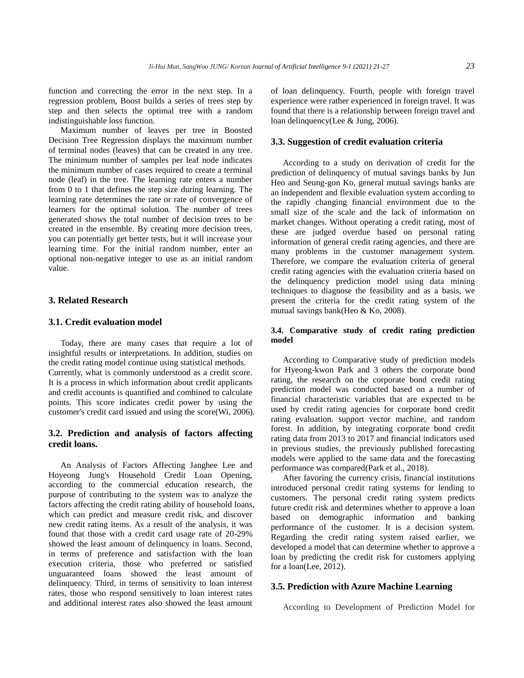function and correcting the error in the next step. In a regression problem, Boost builds a series of trees step by step and then selects the optimal tree with a random indistinguishable loss function.

Maximum number of leaves per tree in Boosted Decision Tree Regression displays the maximum number of terminal nodes (leaves) that can be created in any tree. The minimum number of samples per leaf node indicates the minimum number of cases required to create a terminal node (leaf) in the tree. The learning rate enters a number from 0 to 1 that defines the step size during learning. The learning rate determines the rate or rate of convergence of learners for the optimal solution. The number of trees generated shows the total number of decision trees to be created in the ensemble. By creating more decision trees, you can potentially get better tests, but it will increase your learning time. For the initial random number, enter an optional non-negative integer to use as an initial random value.

## **3. Related Research**

#### **3.1. Credit evaluation model**

Today, there are many cases that require a lot of insightful results or interpretations. In addition, studies on the credit rating model continue using statistical methods. Currently, what is commonly understood as a credit score. It is a process in which information about credit applicants and credit accounts is quantified and combined to calculate points. This score indicates credit power by using the customer's credit card issued and using the score(Wi, 2006).

# **3.2. Prediction and analysis of factors affecting credit loans.**

An Analysis of Factors Affecting Janghee Lee and Hoyeong Jung's Household Credit Loan Opening, according to the commercial education research, the purpose of contributing to the system was to analyze the factors affecting the credit rating ability of household loans, which can predict and measure credit risk, and discover new credit rating items. As a result of the analysis, it was found that those with a credit card usage rate of 20-29% showed the least amount of delinquency in loans. Second, in terms of preference and satisfaction with the loan execution criteria, those who preferred or satisfied unguaranteed loans showed the least amount of delinquency. Third, in terms of sensitivity to loan interest rates, those who respond sensitively to loan interest rates and additional interest rates also showed the least amount

of loan delinquency. Fourth, people with foreign travel experience were rather experienced in foreign travel. It was found that there is a relationship between foreign travel and loan delinquency(Lee & Jung, 2006).

#### **3.3. Suggestion of credit evaluation criteria**

According to a study on derivation of credit for the prediction of delinquency of mutual savings banks by Jun Heo and Seung-gon Ko, general mutual savings banks are an independent and flexible evaluation system according to the rapidly changing financial environment due to the small size of the scale and the lack of information on market changes. Without operating a credit rating, most of these are judged overdue based on personal rating information of general credit rating agencies, and there are many problems in the customer management system. Therefore, we compare the evaluation criteria of general credit rating agencies with the evaluation criteria based on the delinquency prediction model using data mining techniques to diagnose the feasibility and as a basis, we present the criteria for the credit rating system of the mutual savings bank(Heo & Ko, 2008).

# **3.4. Comparative study of credit rating prediction model**

According to Comparative study of prediction models for Hyeong-kwon Park and 3 others the corporate bond rating, the research on the corporate bond credit rating prediction model was conducted based on a number of financial characteristic variables that are expected to be used by credit rating agencies for corporate bond credit rating evaluation. support vector machine, and random forest. In addition, by integrating corporate bond credit rating data from 2013 to 2017 and financial indicators used in previous studies, the previously published forecasting models were applied to the same data and the forecasting performance was compared(Park et al., 2018).

After favoring the currency crisis, financial institutions introduced personal credit rating systems for lending to customers. The personal credit rating system predicts future credit risk and determines whether to approve a loan based on demographic information and banking performance of the customer. It is a decision system. Regarding the credit rating system raised earlier, we developed a model that can determine whether to approve a loan by predicting the credit risk for customers applying for a loan(Lee, 2012).

#### **3.5. Prediction with Azure Machine Learning**

According to Development of Prediction Model for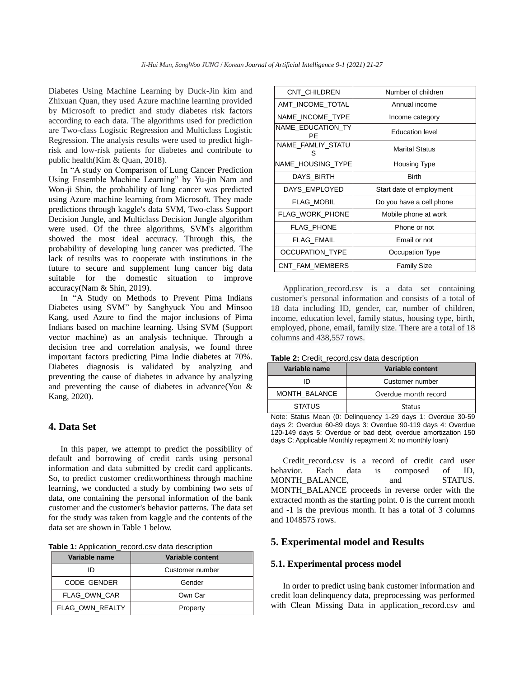Diabetes Using Machine Learning by Duck-Jin kim and Zhixuan Quan, they used Azure machine learning provided by Microsoft to predict and study diabetes risk factors according to each data. The algorithms used for prediction are Two-class Logistic Regression and Multiclass Logistic Regression. The analysis results were used to predict highrisk and low-risk patients for diabetes and contribute to public health(Kim & Quan, 2018).

In "A study on Comparison of Lung Cancer Prediction Using Ensemble Machine Learning" by Yu-jin Nam and Won-ji Shin, the probability of lung cancer was predicted using Azure machine learning from Microsoft. They made predictions through kaggle's data SVM, Two-class Support Decision Jungle, and Multiclass Decision Jungle algorithm were used. Of the three algorithms, SVM's algorithm showed the most ideal accuracy. Through this, the probability of developing lung cancer was predicted. The lack of results was to cooperate with institutions in the future to secure and supplement lung cancer big data suitable for the domestic situation to improve accuracy(Nam & Shin, 2019).

In "A Study on Methods to Prevent Pima Indians Diabetes using SVM" by Sanghyuck You and Minsoo Kang, used Azure to find the major inclusions of Pima Indians based on machine learning. Using SVM (Support vector machine) as an analysis technique. Through a decision tree and correlation analysis, we found three important factors predicting Pima Indie diabetes at 70%. Diabetes diagnosis is validated by analyzing and preventing the cause of diabetes in advance by analyzing and preventing the cause of diabetes in advance(You & Kang, 2020).

## **4. Data Set**

In this paper, we attempt to predict the possibility of default and borrowing of credit cards using personal information and data submitted by credit card applicants. So, to predict customer creditworthiness through machine learning, we conducted a study by combining two sets of data, one containing the personal information of the bank customer and the customer's behavior patterns. The data set for the study was taken from kaggle and the contents of the data set are shown in Table 1 below.

| Table 1: Application_record.csv data description |  |  |
|--------------------------------------------------|--|--|
|--------------------------------------------------|--|--|

| Variable name          | Variable content |
|------------------------|------------------|
|                        | Customer number  |
| <b>CODE GENDER</b>     | Gender           |
| FLAG OWN CAR           | Own Car          |
| <b>FLAG OWN REALTY</b> | Property         |

| <b>CNT CHILDREN</b>     | Number of children       |  |  |
|-------------------------|--------------------------|--|--|
| AMT INCOME TOTAL        | Annual income            |  |  |
| NAME INCOME TYPE        | Income category          |  |  |
| NAME EDUCATION TY<br>ΡF | <b>Education level</b>   |  |  |
| NAME_FAMLIY_STATU<br>S  | <b>Marital Status</b>    |  |  |
| NAME HOUSING TYPE       | Housing Type             |  |  |
| DAYS BIRTH              | <b>Birth</b>             |  |  |
| DAYS EMPLOYED           | Start date of employment |  |  |
| <b>FLAG MOBIL</b>       | Do you have a cell phone |  |  |
| FLAG_WORK_PHONE         | Mobile phone at work     |  |  |
| FLAG PHONE              | Phone or not             |  |  |
| FLAG EMAIL              | Email or not             |  |  |
| <b>OCCUPATION TYPE</b>  | Occupation Type          |  |  |
| CNT FAM MEMBERS         | <b>Family Size</b>       |  |  |

Application record.csv is a data set containing customer's personal information and consists of a total of 18 data including ID, gender, car, number of children, income, education level, family status, housing type, birth, employed, phone, email, family size. There are a total of 18 columns and 438,557 rows.

| Table 2: Credit_record.csv data description |  |  |  |
|---------------------------------------------|--|--|--|
|---------------------------------------------|--|--|--|

| Variable name | Variable content     |  |  |
|---------------|----------------------|--|--|
| חו            | Customer number      |  |  |
| MONTH BALANCE | Overdue month record |  |  |
| <b>STATUS</b> | Status               |  |  |

Note: Status Mean (0: Delinquency 1-29 days 1: Overdue 30-59 days 2: Overdue 60-89 days 3: Overdue 90-119 days 4: Overdue 120-149 days 5: Overdue or bad debt, overdue amortization 150 days C: Applicable Monthly repayment X: no monthly loan)

Credit record.csv is a record of credit card user behavior. Each data is composed of ID, MONTH\_BALANCE, and STATUS. MONTH\_BALANCE proceeds in reverse order with the extracted month as the starting point. 0 is the current month and -1 is the previous month. It has a total of 3 columns and 1048575 rows.

# **5. Experimental model and Results**

## **5.1. Experimental process model**

In order to predict using bank customer information and credit loan delinquency data, preprocessing was performed with Clean Missing Data in application record.csv and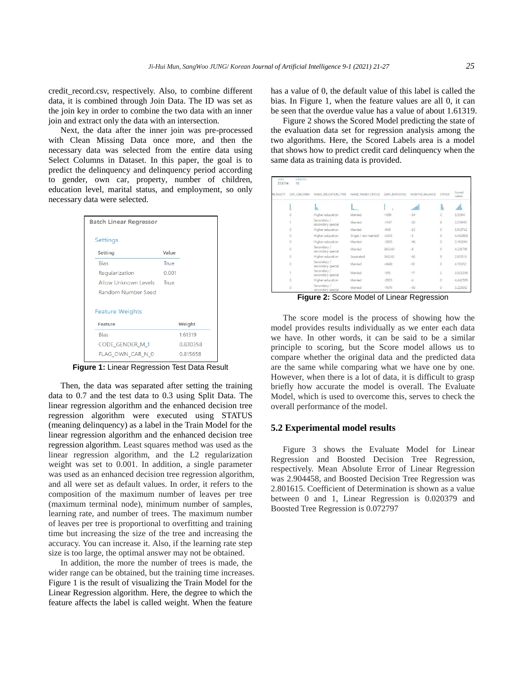credit record.csv, respectively. Also, to combine different data, it is combined through Join Data. The ID was set as the join key in order to combine the two data with an inner join and extract only the data with an intersection.

Next, the data after the inner join was pre-processed with Clean Missing Data once more, and then the necessary data was selected from the entire data using Select Columns in Dataset. In this paper, the goal is to predict the delinquency and delinquency period according to gender, own car, property, number of children, education level, marital status, and employment, so only necessary data were selected.

| <b>Batch Linear Regressor</b> |       |          |
|-------------------------------|-------|----------|
| Settings                      |       |          |
| Setting                       | Value |          |
| <b>Bias</b>                   | True  |          |
| Regularization                | 0.001 |          |
| Allow Unknown Levels          | True  |          |
| <b>Random Number Seed</b>     |       |          |
| <b>Feature Weights</b>        |       |          |
| Feature                       |       | Weight   |
| <b>Bias</b>                   |       | 1.61319  |
| CODE GENDER M 1               |       | 0.830358 |
| FLAG OWN CAR N 0              |       | 0.815658 |
|                               |       |          |

**Figure 1:** Linear Regression Test Data Result

Then, the data was separated after setting the training data to 0.7 and the test data to 0.3 using Split Data. The linear regression algorithm and the enhanced decision tree regression algorithm were executed using STATUS (meaning delinquency) as a label in the Train Model for the linear regression algorithm and the enhanced decision tree regression algorithm. Least squares method was used as the linear regression algorithm, and the L2 regularization weight was set to 0.001. In addition, a single parameter was used as an enhanced decision tree regression algorithm, and all were set as default values. In order, it refers to the composition of the maximum number of leaves per tree (maximum terminal node), minimum number of samples, learning rate, and number of trees. The maximum number of leaves per tree is proportional to overfitting and training time but increasing the size of the tree and increasing the accuracy. You can increase it. Also, if the learning rate step size is too large, the optimal answer may not be obtained.

In addition, the more the number of trees is made, the wider range can be obtained, but the training time increases. Figure 1 is the result of visualizing the Train Model for the Linear Regression algorithm. Here, the degree to which the feature affects the label is called weight. When the feature

has a value of 0, the default value of this label is called the bias. In Figure 1, when the feature values are all 0, it can be seen that the overdue value has a value of about 1.61319.

Figure 2 shows the Scored Model predicting the state of the evaluation data set for regression analysis among the two algorithms. Here, the Scored Labels area is a model that shows how to predict credit card delinquency when the same data as training data is provided.

| rows<br>233314 | columns<br>10  |                                  |                      |               |                |                         |                  |
|----------------|----------------|----------------------------------|----------------------|---------------|----------------|-------------------------|------------------|
| IN_REALTY      | CNT_CHILDREN   | NAME_EDUCATION_TYPE              | NAME_FAMILY_STATUS   | DAYS_EMPLOYED | MONTHS_BALANCE | <b>STATUS</b>           | Scored<br>Labels |
|                |                | h.                               | <b>Issue</b>         |               | .ulli          | llı                     | all.             |
|                | O              | Higher education                 | Married              | $-1691$       | $-34$          | C                       | 3.55114          |
|                |                | Secondary /<br>secondary special | Married              | $-1457$       | $-30$          | $\overline{\mathsf{x}}$ | 3.518401         |
|                | $\theta$       | Higher education                 | Married              | $-949$        | $-23$          | $\theta$                | 3.912742         |
|                | 0              | Higher education                 | Single / not married | $-2403$       | $-3$           | X                       | 4.432806         |
|                | 0              | Higher education                 | Married              | $-2005$       | $-46$          | 0                       | 3.140844         |
|                | $\overline{0}$ | Secondary /<br>secondary special | Married              | 365243        | $-8$           | $\overline{0}$          | 4.226718         |
|                | $\alpha$       | Higher education                 | Separated            | 365243        | $-60$          | X                       | 2.810513         |
|                | o              | Secondary /<br>secondary special | Married              | $-4660$       | $-10$          | O                       | 4.115012         |
|                |                | Secondary /<br>secondary special | Married              | $-595$        | $-17$          | C                       | 3.923298         |
|                | 0              | Higher education                 | Married              | $-3933$       | $-4$           | $\alpha$                | 4.442505         |
|                | Ö              | Secondary /<br>secondary special | Married              | $-7679$       | $-40$          | $\alpha$                | 3.223012         |

**Figure 2:** Score Model of Linear Regression

The score model is the process of showing how the model provides results individually as we enter each data we have. In other words, it can be said to be a similar principle to scoring, but the Score model allows us to compare whether the original data and the predicted data are the same while comparing what we have one by one. However, when there is a lot of data, it is difficult to grasp briefly how accurate the model is overall. The Evaluate Model, which is used to overcome this, serves to check the overall performance of the model.

## **5.2 Experimental model results**

Figure 3 shows the Evaluate Model for Linear Regression and Boosted Decision Tree Regression, respectively. Mean Absolute Error of Linear Regression was 2.904458, and Boosted Decision Tree Regression was 2.801615. Coefficient of Determination is shown as a value between 0 and 1, Linear Regression is 0.020379 and Boosted Tree Regression is 0.072797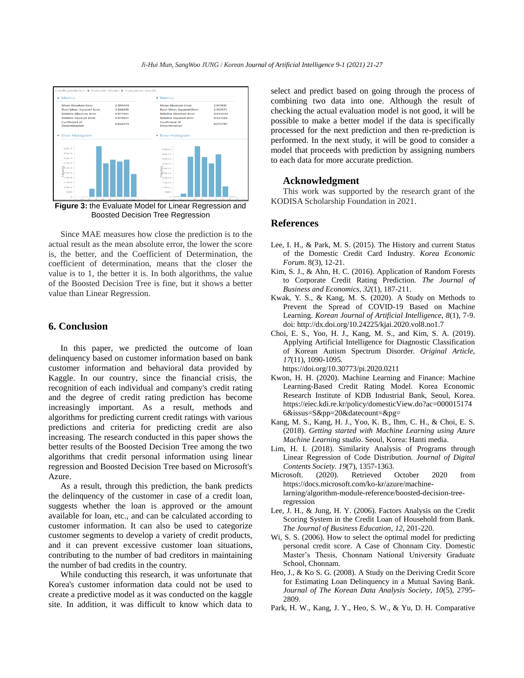

Boosted Decision Tree Regression

Since MAE measures how close the prediction is to the actual result as the mean absolute error, the lower the score is, the better, and the Coefficient of Determination, the coefficient of determination, means that the closer the value is to 1, the better it is. In both algorithms, the value of the Boosted Decision Tree is fine, but it shows a better value than Linear Regression.

# **6. Conclusion**

In this paper, we predicted the outcome of loan delinquency based on customer information based on bank customer information and behavioral data provided by Kaggle. In our country, since the financial crisis, the recognition of each individual and company's credit rating and the degree of credit rating prediction has become increasingly important. As a result, methods and algorithms for predicting current credit ratings with various predictions and criteria for predicting credit are also increasing. The research conducted in this paper shows the better results of the Boosted Decision Tree among the two algorithms that credit personal information using linear regression and Boosted Decision Tree based on Microsoft's Azure.

As a result, through this prediction, the bank predicts the delinquency of the customer in case of a credit loan, suggests whether the loan is approved or the amount available for loan, etc., and can be calculated according to customer information. It can also be used to categorize customer segments to develop a variety of credit products, and it can prevent excessive customer loan situations, contributing to the number of bad creditors in maintaining the number of bad credits in the country.

While conducting this research, it was unfortunate that Korea's customer information data could not be used to create a predictive model as it was conducted on the kaggle site. In addition, it was difficult to know which data to select and predict based on going through the process of combining two data into one. Although the result of checking the actual evaluation model is not good, it will be possible to make a better model if the data is specifically processed for the next prediction and then re-prediction is performed. In the next study, it will be good to consider a model that proceeds with prediction by assigning numbers to each data for more accurate prediction.

## **Acknowledgment**

This work was supported by the research grant of the KODISA Scholarship Foundation in 2021.

## **References**

- Lee, I. H., & Park, M. S. (2015). The History and current Status of the Domestic Credit Card Industry. *Korea Economic Forum*. 8(3), 12-21.
- Kim, S. J., & Ahn, H. C. (2016). Application of Random Forests to Corporate Credit Rating Prediction*. The Journal of Business and Economics*, *32*(1), 187-211.
- Kwak, Y. S., & Kang, M. S. (2020). A Study on Methods to Prevent the Spread of COVID-19 Based on Machine Learning. *Korean Journal of Artificial Intelligence, 8*(1), 7-9. doi: http://dx.doi.org/10.24225/kjai.2020.vol8.no1.7
- Choi, E. S., Yoo, H. J., Kang, M. S., and Kim, S. A. (2019). Applying Artificial Intelligence for Diagnostic Classification of Korean Autism Spectrum Disorder. *Original Article, 17*(11), 1090-1095. https://doi.org/10.30773/pi.2020.0211
- Kwon, H. H. (2020). Machine Learning and Finance: Machine Learning-Based Credit Rating Model. Korea Economic Research Institute of KDB Industrial Bank, Seoul, Korea. https://eiec.kdi.re.kr/policy/domesticView.do?ac=000015174 6&issus=S&pp=20&datecount=&pg=
- Kang, M. S., Kang, H. J., Yoo, K. B., Ihm, C. H., & Choi, E. S. (2018). *Getting started with Machine Learning using Azure Machine Learning studio*. Seoul, Korea: Hanti media.
- Lim, H. I. (2018). Similarity Analysis of Programs through Linear Regression of Code Distribution. *Journal of Digital Contents Society. 19*(7), 1357-1363.
- Microsoft. (2020). Retrieved October 2020 from https://docs.microsoft.com/ko-kr/azure/machinelarning/algorithm-module-reference/boosted-decision-treeregression
- Lee, J. H., & Jung, H. Y. (2006). Factors Analysis on the Credit Scoring System in the Credit Loan of Household from Bank. *The Journal of Business Education*, *12*, 201-220.
- Wi, S. S. (2006). How to select the optimal model for predicting personal credit score. A Case of Chonnam City. Domestic Master's Thesis, Chonnam National University Graduate School, Chonnam.
- Heo, J., & Ko S. G. (2008). A Study on the Deriving Credit Score for Estimating Loan Delinquency in a Mutual Saving Bank. *Journal of The Korean Data Analysis Society*, *10*(5), 2795- 2809.
- Park, H. W., Kang, J. Y., Heo, S. W., & Yu, D. H. Comparative